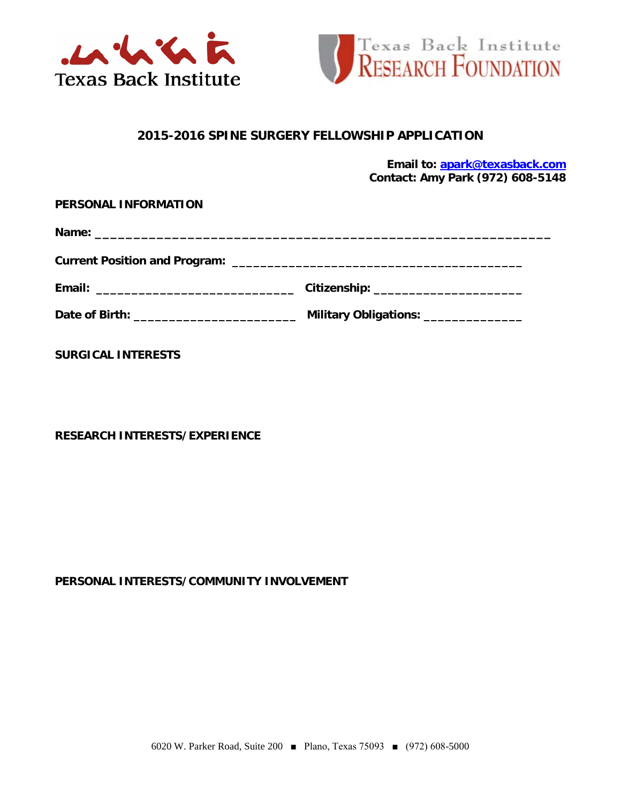



# **2015-2016 SPINE SURGERY FELLOWSHIP APPLICATION**

**Email to: [apark@texasback.com](mailto:apark@texasback.com) Contact: Amy Park (972) 608-5148**

**Name: \_\_\_\_\_\_\_\_\_\_\_\_\_\_\_\_\_\_\_\_\_\_\_\_\_\_\_\_\_\_\_\_\_\_\_\_\_\_\_\_\_\_\_\_\_\_\_\_\_\_\_\_\_\_\_\_\_\_\_** 

**Current Position and Program: \_\_\_\_\_\_\_\_\_\_\_\_\_\_\_\_\_\_\_\_\_\_\_\_\_\_\_\_\_\_\_\_\_\_\_\_\_\_\_\_\_** 

| Email: | <b>Citizenship:</b> |
|--------|---------------------|

**Date of Birth: \_\_\_\_\_\_\_\_\_\_\_\_\_\_\_\_\_\_\_\_\_\_\_ Military Obligations: \_\_\_\_\_\_\_\_\_\_\_\_\_\_**

**SURGICAL INTERESTS**

**RESEARCH INTERESTS/EXPERIENCE**

## **PERSONAL INTERESTS/COMMUNITY INVOLVEMENT**